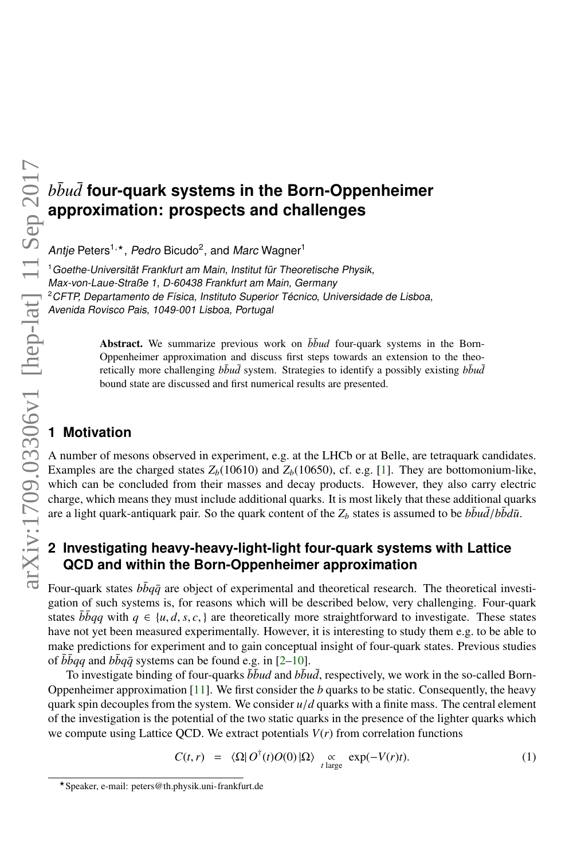# $b\bar{b}u\bar{d}$  four-quark systems in the Born-Oppenheimer **approximation: prospects and challenges**

Antje Peters<sup>1,\*</sup>, Pedro Bicudo<sup>2</sup>, and Marc Wagner<sup>1</sup>

<sup>1</sup>Goethe-Universität Frankfurt am Main, Institut für Theoretische Physik, Max-von-Laue-Straße 1, D-60438 Frankfurt am Main, Germany <sup>2</sup>CFTP, Departamento de Física, Instituto Superior Técnico, Universidade de Lisboa, Avenida Rovisco Pais, 1049-001 Lisboa, Portugal

> Abstract. We summarize previous work on  $\bar{b} \bar{b} u d$  four-quark systems in the Born-Oppenheimer approximation and discuss first steps towards an extension to the theoretically more challenging  $b\bar{b}u\bar{d}$  system. Strategies to identify a possibly existing  $b\bar{b}u\bar{d}$ bound state are discussed and first numerical results are presented.

# **1 Motivation**

A number of mesons observed in experiment, e.g. at the LHCb or at Belle, are tetraquark candidates. Examples are the charged states  $Z_b(10610)$  and  $Z_b(10650)$ , cf. e.g. [\[1\]](#page-7-0). They are bottomonium-like, which can be concluded from their masses and decay products. However, they also carry electric charge, which means they must include additional quarks. It is most likely that these additional quarks are a light quark-antiquark pair. So the quark content of the  $Z_b$  states is assumed to be  $b\bar{b}u\bar{d}/b\bar{b}d\bar{u}$ .

# **2 Investigating heavy-heavy-light-light four-quark systems with Lattice QCD and within the Born-Oppenheimer approximation**

Four-quark states  $b\bar{b}q\bar{q}$  are object of experimental and theoretical research. The theoretical investigation of such systems is, for reasons which will be described below, very challenging. Four-quark states  $\bar{b}$ *b* $q$ *q* with  $q \in \{u, d, s, c, \}$  are theoretically more straightforward to investigate. These states have not yet been measured experimentally. However, it is interesting to study them e.g. to be able to make predictions for experiment and to gain conceptual insight of four-quark states. Previous studies of  $\bar{b} \bar{b} q q$  and  $b \bar{b} q \bar{q}$  systems can be found e.g. in [\[2–](#page-7-1)[10\]](#page-7-2).

To investigate binding of four-quarks  $\bar{b} \bar{b} u d$  and  $b \bar{b} u \bar{d}$ , respectively, we work in the so-called Born-Oppenheimer approximation [\[11\]](#page-7-3). We first consider the *b* quarks to be static. Consequently, the heavy quark spin decouples from the system. We consider  $u/d$  quarks with a finite mass. The central element of the investigation is the potential of the two static quarks in the presence of the lighter quarks which we compute using Lattice QCD. We extract potentials  $V(r)$  from correlation functions

$$
C(t,r) = \langle \Omega | O^{\dagger}(t)O(0) | \Omega \rangle \underset{t \text{ large}}{\propto} \exp(-V(r)t). \tag{1}
$$

<sup>?</sup>Speaker, e-mail: peters@th.physik.uni-frankfurt.de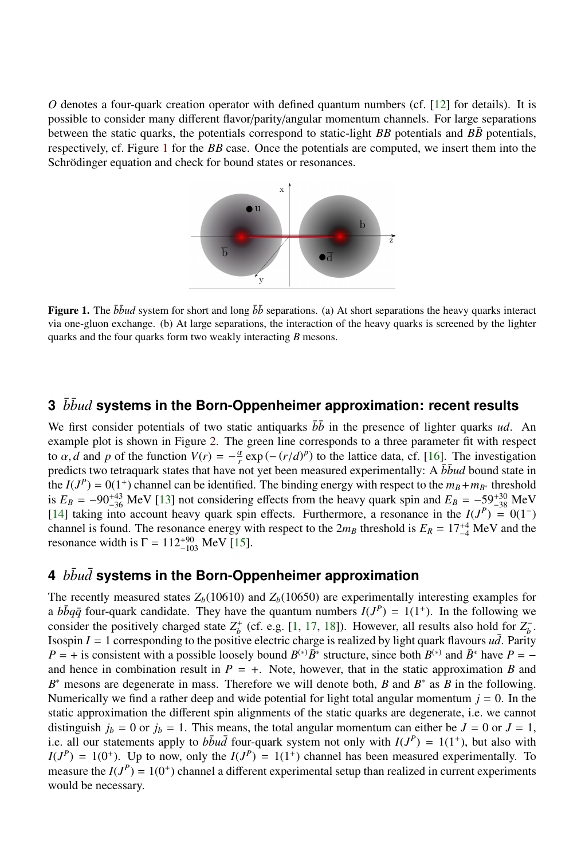*O* denotes a four-quark creation operator with defined quantum numbers (cf. [\[12\]](#page-7-4) for details). It is possible to consider many different flavor/parity/angular momentum channels. For large separations between the static quarks, the potentials correspond to static-light *BB* potentials and  $B\bar{B}$  potentials, respectively, cf. Figure [1](#page-1-0) for the *BB* case. Once the potentials are computed, we insert them into the Schrödinger equation and check for bound states or resonances.



<span id="page-1-0"></span>Figure 1. The  $\bar{b} \bar{b} u d$  system for short and long  $\bar{b} \bar{b}$  separations. (a) At short separations the heavy quarks interact via one-gluon exchange. (b) At large separations, the interaction of the heavy quarks is screened by the lighter quarks and the four quarks form two weakly interacting *B* mesons.

#### **3** *bbud* systems in the Born-Oppenheimer approximation: recent results

We first consider potentials of two static antiquarks  $\bar{b}\bar{b}$  in the presence of lighter quarks *ud*. An example plot is shown in Figure [2.](#page-2-0) The green line corresponds to a three parameter fit with respect to  $\alpha$ , *d* and *p* of the function  $V(r) = -\frac{\alpha}{r} \exp(-(r/d)^p)$  to the lattice data, cf. [\[16\]](#page-7-5). The investigation predicts two tetraquark states that have not vet been measured experimentally: A  $\bar{b}bud$  bound state in predicts two tetraquark states that have not yet been measured experimentally: A  $\bar{b} \bar{b} u d$  bound state in the  $I(J^P) = 0(1^+)$  channel can be identified. The binding energy with respect to the  $m_B + m_{B^*}$  threshold is  $E_B = -90^{+43}_{-36}$  MeV [\[13\]](#page-7-6) not considering effects from the heavy quark spin and  $E_B = -59^{+30}_{-38}$  MeV [\[14\]](#page-7-7) taking into account heavy quark spin effects. Furthermore, a resonance in the  $I(J^P) = 0(1^-)$ channel is found. The resonance energy with respect to the  $2m_B$  threshold is  $E_R = 17^{+4}_{-4}$  MeV and the resonance width is  $\Gamma = 112^{+90}_{-103}$  MeV [\[15\]](#page-7-8).

#### **4** *bbu*¯ *d*¯ **systems in the Born-Oppenheimer approximation**

The recently measured states  $Z_b(10610)$  and  $Z_b(10650)$  are experimentally interesting examples for a  $b\bar{b}q\bar{q}$  four-quark candidate. They have the quantum numbers  $I(J^P) = 1(1^+)$ . In the following we consider the positively charged state  $Z_b^+$  (cf. e.g. [\[1,](#page-7-0) [17,](#page-7-9) [18\]](#page-7-10)). However, all results also hold for  $Z_b^-$ . Isospin  $I = 1$  corresponding to the positive electric charge is realized by light quark flavours  $u\bar{d}$ . Parity  $P = +$  is consistent with a possible loosely bound  $B^{(*)}\bar{B}^*$  structure, since both  $B^{(*)}$  and  $\bar{B}^*$  have  $P =$ and hence in combination result in  $P = +$ . Note, however, that in the static approximation *B* and *B*<sup>∗</sup> mesons are degenerate in mass. Therefore we will denote both, *B* and *B*<sup>∗</sup> as *B* in the following. Numerically we find a rather deep and wide potential for light total angular momentum  $j = 0$ . In the static approximation the different spin alignments of the static quarks are degenerate, i.e. we cannot distinguish  $j_b = 0$  or  $j_b = 1$ . This means, the total angular momentum can either be  $J = 0$  or  $J = 1$ , i.e. all our statements apply to  $b\bar{b}u\bar{d}$  four-quark system not only with  $I(J^P) = 1(1^+)$ , but also with  $I(J^P) = 1(0^+)$ . Up to now, only the  $I(J^P) = 1(1^+)$  channel has been measured experimentally. To measure the  $I(J^P) = 1(0^+)$  channel a different experimental setup than realized in current experiments would be necessary.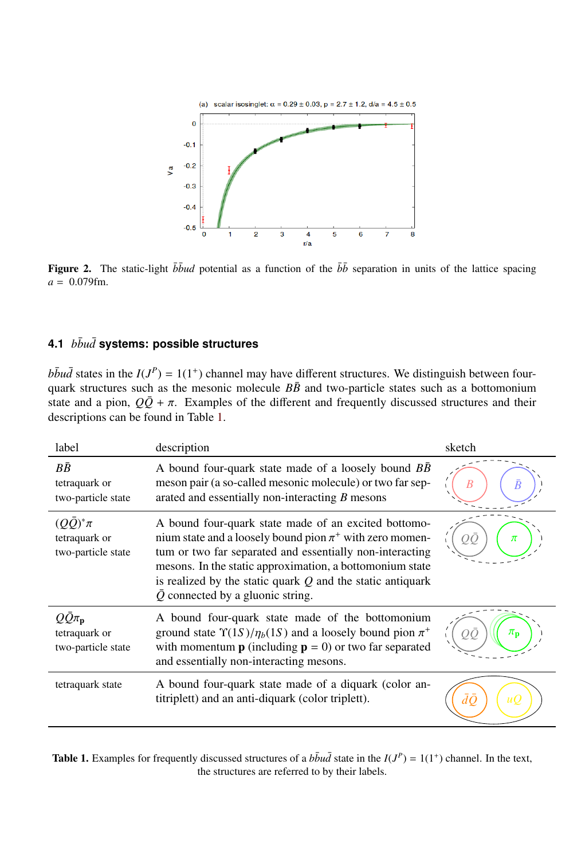

<span id="page-2-0"></span>Figure 2. The static-light  $\bar{b} \bar{b} u d$  potential as a function of the  $\bar{b} \bar{b}$  separation in units of the lattice spacing *<sup>a</sup>* <sup>=</sup> <sup>0</sup>.079fm.

#### **4.1** *bbu*¯ *d*¯ **systems: possible structures**

 $b\bar{b}u\bar{d}$  states in the  $I(J^P) = 1(1^+)$  channel may have different structures. We distinguish between fourquark structures such as the mesonic molecule  $B\bar{B}$  and two-particle states such as a bottomonium state and a pion,  $Q\bar{Q} + \pi$ . Examples of the different and frequently discussed structures and their descriptions can be found in Table [1.](#page-2-1)

| label                                                             | description                                                                                                                                                                                                                                                                                                                                                   | sketch                 |
|-------------------------------------------------------------------|---------------------------------------------------------------------------------------------------------------------------------------------------------------------------------------------------------------------------------------------------------------------------------------------------------------------------------------------------------------|------------------------|
| ВĒ<br>tetraquark or<br>two-particle state                         | A bound four-quark state made of a loosely bound <i>BB</i><br>meson pair (a so-called mesonic molecule) or two far sep-<br>arated and essentially non-interacting $B$ mesons                                                                                                                                                                                  |                        |
| $(OO)^*\pi$<br>tetraquark or<br>two-particle state                | A bound four-quark state made of an excited bottomo-<br>nium state and a loosely bound pion $\pi^+$ with zero momen-<br>tum or two far separated and essentially non-interacting<br>mesons. In the static approximation, a bottomonium state<br>is realized by the static quark $Q$ and the static antiquark<br>$\overline{Q}$ connected by a gluonic string. | π                      |
| $Q\bar{Q}\pi_{\mathbf{p}}$<br>tetraquark or<br>two-particle state | A bound four-quark state made of the bottomonium<br>ground state $\Upsilon(1S)/\eta_b(1S)$ and a loosely bound pion $\pi^+$<br>with momentum <b>p</b> (including $\mathbf{p} = 0$ ) or two far separated<br>and essentially non-interacting mesons.                                                                                                           | $\pi_{\bf n}$          |
| tetraquark state                                                  | A bound four-quark state made of a diquark (color an-<br>titriplett) and an anti-diquark (color triplett).                                                                                                                                                                                                                                                    | $\bar{d}\bar{O}$<br>иO |

<span id="page-2-1"></span>**Table 1.** Examples for frequently discussed structures of a  $b\bar{b}u\bar{d}$  state in the  $I(J^P) = 1(1^+)$  channel. In the text, the structures are referred to by their labels.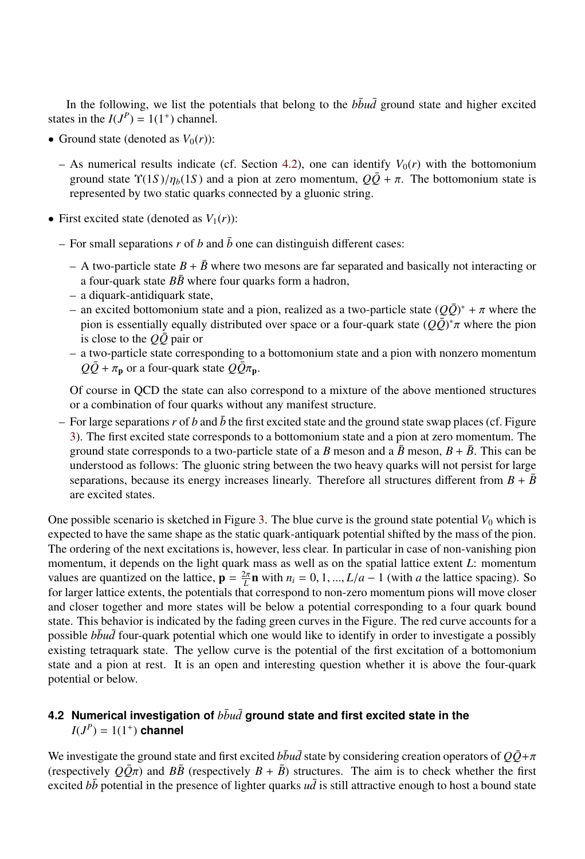In the following, we list the potentials that belong to the  $b\bar{b}u\bar{d}$  ground state and higher excited states in the  $I(J^P) = 1(1^+)$  channel.

- Ground state (denoted as  $V_0(r)$ ):
	- As numerical results indicate (cf. Section [4.2\)](#page-3-0), one can identify  $V_0(r)$  with the bottomonium ground state  $\Upsilon(1S)/\eta_b(1S)$  and a pion at zero momentum,  $Q\overline{Q} + \pi$ . The bottomonium state is represented by two static quarks connected by a gluonic string.
- First excited state (denoted as  $V_1(r)$ ):
	- For small separations  $r$  of  $b$  and  $\bar{b}$  one can distinguish different cases:
		- A two-particle state  $B + \bar{B}$  where two mesons are far separated and basically not interacting or a four-quark state  $B\bar{B}$  where four quarks form a hadron,
		- a diquark-antidiquark state,
		- an excited bottomonium state and a pion, realized as a two-particle state  $(Q\bar{Q})^* + \pi$  where the pion is essentially equally distributed over space or a four-quark state  $(Q\bar{Q})^* \pi$  where the pion pion is essentially equally distributed over space or a four-quark state  $(Q\overline{Q})^*\pi$  where the pion is close to the *O* $\overline{Q}$  pair or is close to the  $Q\bar{Q}$  pair or
		- a two-particle state corresponding to a bottomonium state and a pion with nonzero momentum  $Q\bar{Q} + \pi_{\bf p}$  or a four-quark state  $Q\bar{Q}\pi_{\bf p}$ .

Of course in QCD the state can also correspond to a mixture of the above mentioned structures or a combination of four quarks without any manifest structure.

– For large separations  $r$  of  $b$  and  $\bar{b}$  the first excited state and the ground state swap places (cf. Figure [3\)](#page-4-0). The first excited state corresponds to a bottomonium state and a pion at zero momentum. The ground state corresponds to a two-particle state of a *B* meson and a  $\bar{B}$  meson,  $B + \bar{B}$ . This can be understood as follows: The gluonic string between the two heavy quarks will not persist for large separations, because its energy increases linearly. Therefore all structures different from  $B + \overline{B}$ are excited states.

One possible scenario is sketched in Figure [3.](#page-4-0) The blue curve is the ground state potential  $V_0$  which is expected to have the same shape as the static quark-antiquark potential shifted by the mass of the pion. The ordering of the next excitations is, however, less clear. In particular in case of non-vanishing pion momentum, it depends on the light quark mass as well as on the spatial lattice extent *L*: momentum values are quantized on the lattice,  $\mathbf{p} = \frac{2\pi}{L} \mathbf{n}$  with  $n_i = 0, 1, ..., L/a - 1$  (with *a* the lattice spacing). So<br>for larger lattice extents the potentials that correspond to pop-zero momentum pions will move closer for larger lattice extents, the potentials that correspond to non-zero momentum pions will move closer and closer together and more states will be below a potential corresponding to a four quark bound state. This behavior is indicated by the fading green curves in the Figure. The red curve accounts for a possible *bbud* four-quark potential which one would like to identify in order to investigate a possibly existing tetraquark state. The yellow curve is the potential of the first excitation of a bottomonium state and a pion at rest. It is an open and interesting question whether it is above the four-quark potential or below.

#### <span id="page-3-0"></span>**4.2 Numerical investigation of**  $b\bar{b}u\bar{d}$  ground state and first excited state in the  $I(J^P) = 1(1^+)$  channel

We investigate the ground state and first excited  $b\bar{b}u\bar{d}$  state by considering creation operators of  $Q\bar{Q}+\pi$ (respectively  $Q\bar{Q}\pi$ ) and  $B\bar{B}$  (respectively  $B + \bar{B}$ ) structures. The aim is to check whether the first excited  $b\bar{b}$  potential in the presence of lighter quarks  $u\bar{d}$  is still attractive enough to host a bound state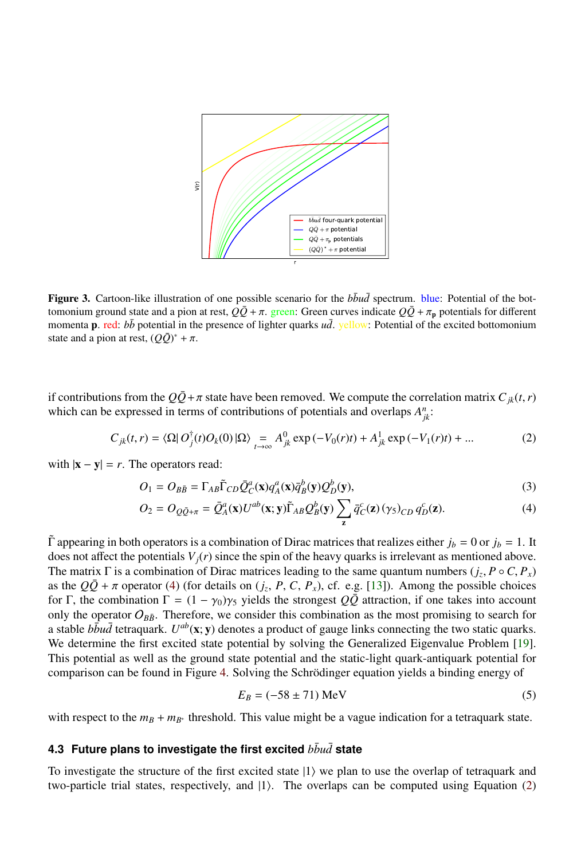

<span id="page-4-0"></span>Figure 3. Cartoon-like illustration of one possible scenario for the  $b\bar{b}u\bar{d}$  spectrum. blue: Potential of the bottomonium ground state and a pion at rest,  $Q\bar{Q}$  +  $\pi$ . green: Green curves indicate  $Q\bar{Q}$  +  $\pi_p$  potentials for different momenta **p**. red:  $b\bar{b}$  potential in the presence of lighter quarks  $u\bar{d}$ . yellow: Potential of the excited bottomonium state and a pion at rest,  $(Q\bar{Q})^* + \pi$ .

if contributions from the  $Q\bar{Q} + \pi$  state have been removed. We compute the correlation matrix  $C_{ik}(t, r)$ which can be expressed in terms of contributions of potentials and overlaps  $A_{jk}^n$ :

<span id="page-4-2"></span>
$$
C_{jk}(t,r) = \langle \Omega | O_j^{\dagger}(t) O_k(0) | \Omega \rangle = A_{jk}^0 \exp(-V_0(r)t) + A_{jk}^1 \exp(-V_1(r)t) + ... \tag{2}
$$

with  $|\mathbf{x} - \mathbf{y}| = r$ . The operators read:

$$
O_1 = O_{B\bar{B}} = \Gamma_{AB}\tilde{\Gamma}_{CD}\bar{Q}_C^a(\mathbf{x})q_A^a(\mathbf{x})\bar{q}_B^b(\mathbf{y})Q_D^b(\mathbf{y}),\tag{3}
$$

$$
O_2 = O_{Q\bar{Q}+\pi} = \bar{Q}_A^a(\mathbf{x})U^{ab}(\mathbf{x}; \mathbf{y})\tilde{\Gamma}_{AB}Q_B^b(\mathbf{y}) \sum_{\mathbf{z}} \bar{q}_C^c(\mathbf{z}) (\gamma_5)_{CD} q_D^c(\mathbf{z}).
$$
\n(4)

 $\Gamma$  appearing in both operators is a combination of Dirac matrices that realizes either  $j_b = 0$  or  $j_b = 1$ . It does not affect the potentials  $V_j(r)$  since the spin of the heavy quarks is irrelevant as mentioned above. The matrix  $\Gamma$  is a combination of Dirac matrices leading to the same quantum numbers  $(j_z, P \circ C, P_x)$ <br>as the  $O\overline{O} + \pi$  operator (4) (for details on  $(i, P, C, P)$ ) of  $e \circ [13]$ ). Among the possible choices as the  $Q\overline{Q} + \pi$  operator [\(4\)](#page-4-1) (for details on  $(j_z, P, C, P_x)$ , cf. e.g. [\[13\]](#page-7-6)). Among the possible choices for  $\Gamma$  the combination  $\Gamma = (1 - \chi_0)\chi_c$  vields the strongest  $Q\overline{Q}$  attraction if one takes into account for Γ, the combination  $\Gamma = (1 - \gamma_0)\gamma_5$  yields the strongest  $Q\overline{Q}$  attraction, if one takes into account only the operator  $O_{B\bar{B}}$ . Therefore, we consider this combination as the most promising to search for a stable  $b\bar{b}u\bar{d}$  tetraquark.  $U^{ab}(\mathbf{x}; \mathbf{y})$  denotes a product of gauge links connecting the two static quarks. We determine the first excited state potential by solving the Generalized Eigenvalue Problem [\[19\]](#page-7-11). This potential as well as the ground state potential and the static-light quark-antiquark potential for comparison can be found in Figure [4.](#page-5-0) Solving the Schrödinger equation yields a binding energy of

<span id="page-4-3"></span><span id="page-4-1"></span>
$$
E_B = (-58 \pm 71) \text{ MeV}
$$
 (5)

with respect to the  $m_B + m_{B^*}$  threshold. This value might be a vague indication for a tetraquark state.

#### **4.3 Future plans to investigate the first excited** *bbu*¯ *d*¯ **state**

To investigate the structure of the first excited state  $|1\rangle$  we plan to use the overlap of tetraquark and two-particle trial states, respectively, and  $|1\rangle$ . The overlaps can be computed using Equation [\(2\)](#page-4-2)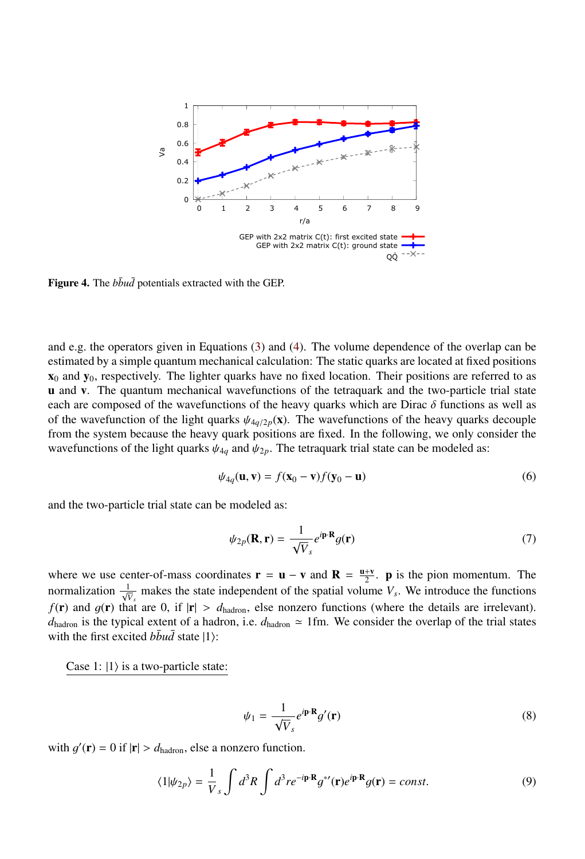

<span id="page-5-0"></span>Figure 4. The  $b\bar{b}u\bar{d}$  potentials extracted with the GEP.

and e.g. the operators given in Equations [\(3\)](#page-4-3) and [\(4\)](#page-4-1). The volume dependence of the overlap can be estimated by a simple quantum mechanical calculation: The static quarks are located at fixed positions  $x_0$  and  $y_0$ , respectively. The lighter quarks have no fixed location. Their positions are referred to as u and v. The quantum mechanical wavefunctions of the tetraquark and the two-particle trial state each are composed of the wavefunctions of the heavy quarks which are Dirac  $\delta$  functions as well as of the wavefunction of the light quarks  $\psi_{4q/2p}(\mathbf{x})$ . The wavefunctions of the heavy quarks decouple from the system because the heavy quark positions are fixed. In the following, we only consider the wavefunctions of the light quarks  $\psi_{4q}$  and  $\psi_{2p}$ . The tetraquark trial state can be modeled as:

$$
\psi_{4q}(\mathbf{u}, \mathbf{v}) = f(\mathbf{x}_0 - \mathbf{v})f(\mathbf{y}_0 - \mathbf{u})
$$
\n(6)

and the two-particle trial state can be modeled as:

$$
\psi_{2p}(\mathbf{R}, \mathbf{r}) = \frac{1}{\sqrt{V}_s} e^{i\mathbf{p} \cdot \mathbf{R}} g(\mathbf{r}) \tag{7}
$$

where we use center-of-mass coordinates  $\mathbf{r} = \mathbf{u} - \mathbf{v}$  and  $\mathbf{R} = \frac{\mathbf{u} + \mathbf{v}}{2}$ . **p** is the pion momentum. The normalization  $\frac{1}{\sqrt{V_s}}$  makes the state independent of the spatial volume  $V_s$ . We introduce the functions  $f(\mathbf{r})$  and  $g(\mathbf{r})$  that are 0, if  $|\mathbf{r}| > d_{\text{hadron}}$ , else nonzero functions (where the details are irrelevant).  $d_{\text{hadron}}$  is the typical extent of a hadron, i.e.  $d_{\text{hadron}} \approx 1$  fm. We consider the overlap of the trial states with the first excited  $b\bar{b}u\bar{d}$  state  $|1\rangle$ :

Case 1:  $|1\rangle$  is a two-particle state:

$$
\psi_1 = \frac{1}{\sqrt{V}_s} e^{i \mathbf{p} \cdot \mathbf{R}} g'(\mathbf{r}) \tag{8}
$$

with  $g'(\mathbf{r}) = 0$  if  $|\mathbf{r}| > d_{\text{hadron}}$ , else a nonzero function.

$$
\langle 1|\psi_{2p}\rangle = \frac{1}{V_s} \int d^3R \int d^3r e^{-i\mathbf{p}\cdot\mathbf{R}} g^{*'}(\mathbf{r}) e^{i\mathbf{p}\cdot\mathbf{R}} g(\mathbf{r}) = const.
$$
 (9)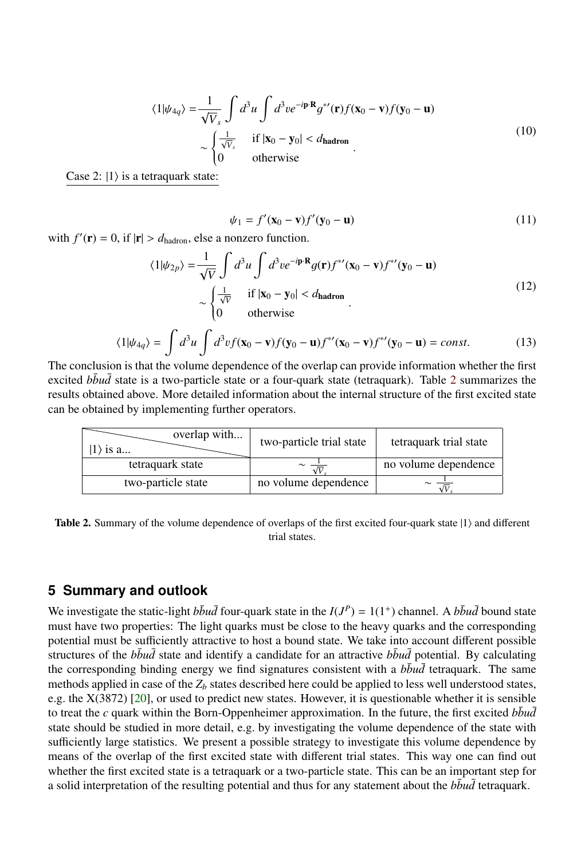$$
\langle 1|\psi_{4q}\rangle = \frac{1}{\sqrt{V}_s} \int d^3u \int d^3v e^{-i\mathbf{p}\cdot\mathbf{R}} g^{*'}(\mathbf{r}) f(\mathbf{x}_0 - \mathbf{v}) f(\mathbf{y}_0 - \mathbf{u})
$$
  
 
$$
\sim \begin{cases} \frac{1}{\sqrt{V}_s} & \text{if } |\mathbf{x}_0 - \mathbf{y}_0| < d_{\text{hadron}} \\ 0 & \text{otherwise} \end{cases}
$$
 (10)

Case 2:  $|1\rangle$  is a tetraquark state:

$$
\psi_1 = f'(\mathbf{x}_0 - \mathbf{v})f'(\mathbf{y}_0 - \mathbf{u})
$$
\n(11)

with  $f'(\mathbf{r}) = 0$ , if  $|\mathbf{r}| > d_{\text{hadron}}$ , else a nonzero function.

$$
\langle 1|\psi_{2p}\rangle = \frac{1}{\sqrt{V}} \int d^3u \int d^3v e^{-i\mathbf{p}\cdot\mathbf{R}} g(\mathbf{r}) f^{*\prime}(\mathbf{x}_0 - \mathbf{v}) f^{*\prime}(\mathbf{y}_0 - \mathbf{u})
$$
  
 
$$
\sim \begin{cases} \frac{1}{\sqrt{V}} & \text{if } |\mathbf{x}_0 - \mathbf{y}_0| < d_{\text{hadron}} \\ 0 & \text{otherwise} \end{cases}
$$
 (12)

$$
\langle 1|\psi_{4q}\rangle = \int d^3u \int d^3v f(\mathbf{x}_0 - \mathbf{v}) f(\mathbf{y}_0 - \mathbf{u}) f^{*'}(\mathbf{x}_0 - \mathbf{v}) f^{*'}(\mathbf{y}_0 - \mathbf{u}) = const.
$$
 (13)

The conclusion is that the volume dependence of the overlap can provide information whether the first excited *bbud* state is a two-particle state or a four-quark state (tetraquark). Table [2](#page-6-0) summarizes the results obtained above. More detailed information about the internal structure of the first excited state can be obtained by implementing further operators.

| overlap with<br>$ 1\rangle$ is a | two-particle trial state | tetraquark trial state |  |
|----------------------------------|--------------------------|------------------------|--|
| tetraquark state                 |                          | no volume dependence   |  |
| two-particle state               | no volume dependence     |                        |  |

<span id="page-6-0"></span>Table 2. Summary of the volume dependence of overlaps of the first excited four-quark state  $|1\rangle$  and different trial states.

#### **5 Summary and outlook**

We investigate the static-light  $b\bar{b}u\bar{d}$  four-quark state in the  $I(J^P) = 1(1^+)$  channel. A  $b\bar{b}u\bar{d}$  bound state must have two properties: The light quarks must be close to the heavy quarks and the corresponding potential must be sufficiently attractive to host a bound state. We take into account different possible structures of the  $b\bar{b}u\bar{d}$  state and identify a candidate for an attractive  $b\bar{b}u\bar{d}$  potential. By calculating the corresponding binding energy we find signatures consistent with a  $b\bar{b}u\bar{d}$  tetraquark. The same methods applied in case of the  $Z_b$  states described here could be applied to less well understood states, e.g. the X(3872) [\[20\]](#page-7-12), or used to predict new states. However, it is questionable whether it is sensible to treat the *c* quark within the Born-Oppenheimer approximation. In the future, the first excited  $b\bar{b}u\bar{d}$ state should be studied in more detail, e.g. by investigating the volume dependence of the state with sufficiently large statistics. We present a possible strategy to investigate this volume dependence by means of the overlap of the first excited state with different trial states. This way one can find out whether the first excited state is a tetraquark or a two-particle state. This can be an important step for a solid interpretation of the resulting potential and thus for any statement about the  $b\bar{b}u\bar{d}$  tetraquark.